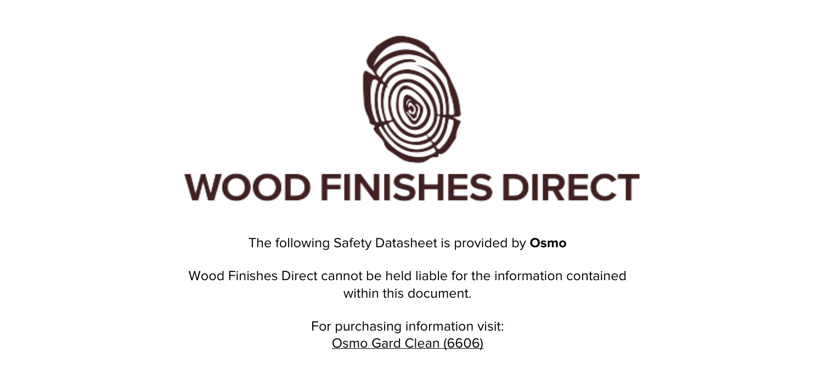

The following Safety Datasheet is provided by **Osmo**

Wood Finishes Direct cannot be held liable for the information contained within this document.

> For purchasing information visit: [Osmo Gard Clean \(6606\)](https://www.wood-finishes-direct.com/product/osmo-gard-clean-6606)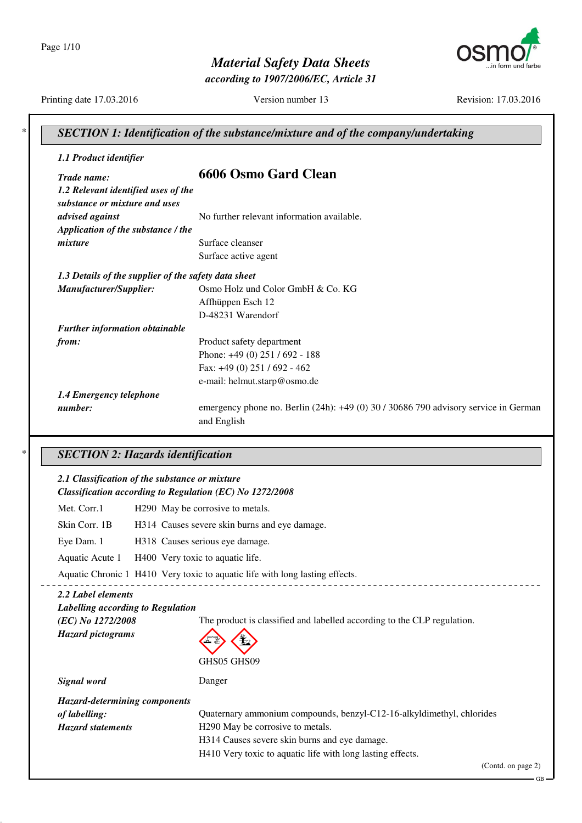Page 1/10



*Material Safety Data Sheets*

*according to 1907/2006/EC, Article 31*

Printing date 17.03.2016 Version number 13 Revision: 17.03.2016

| 1.1 Product identifier                                   |                                                                                                           |
|----------------------------------------------------------|-----------------------------------------------------------------------------------------------------------|
| Trade name:                                              | <b>6606 Osmo Gard Clean</b>                                                                               |
| 1.2 Relevant identified uses of the                      |                                                                                                           |
| substance or mixture and uses                            |                                                                                                           |
| advised against                                          | No further relevant information available.                                                                |
| Application of the substance / the                       |                                                                                                           |
| mixture                                                  | Surface cleanser                                                                                          |
|                                                          | Surface active agent                                                                                      |
| 1.3 Details of the supplier of the safety data sheet     |                                                                                                           |
| Manufacturer/Supplier:                                   | Osmo Holz und Color GmbH & Co. KG                                                                         |
|                                                          | Affhüppen Esch 12                                                                                         |
|                                                          | D-48231 Warendorf                                                                                         |
| <b>Further information obtainable</b>                    |                                                                                                           |
| from:                                                    | Product safety department                                                                                 |
|                                                          | Phone: +49 (0) 251 / 692 - 188                                                                            |
|                                                          | Fax: +49 (0) 251 / 692 - 462                                                                              |
|                                                          | e-mail: helmut.starp@osmo.de                                                                              |
| 1.4 Emergency telephone                                  |                                                                                                           |
| number:                                                  | emergency phone no. Berlin (24h): +49 (0) 30 / 30686 790 advisory service in German                       |
|                                                          | and English                                                                                               |
| <b>SECTION 2: Hazards identification</b>                 |                                                                                                           |
| 2.1 Classification of the substance or mixture           |                                                                                                           |
| Classification according to Regulation (EC) No 1272/2008 |                                                                                                           |
| Met. Corr.1                                              | H290 May be corrosive to metals.                                                                          |
| Skin Corr. 1B                                            | H314 Causes severe skin burns and eye damage.                                                             |
| Eye Dam. 1                                               | H318 Causes serious eye damage.                                                                           |
| Aquatic Acute 1                                          | H400 Very toxic to aquatic life.                                                                          |
|                                                          | Aquatic Chronic 1 H410 Very toxic to aquatic life with long lasting effects.                              |
| 2.2 Label elements                                       |                                                                                                           |
| Labelling according to Regulation                        |                                                                                                           |
| (EC) No 1272/2008                                        | The product is classified and labelled according to the CLP regulation.                                   |
| <b>Hazard</b> pictograms                                 |                                                                                                           |
|                                                          | GHS05 GHS09                                                                                               |
| Signal word                                              | Danger                                                                                                    |
|                                                          |                                                                                                           |
| <b>Hazard-determining components</b><br>of labelling:    |                                                                                                           |
| <b>Hazard statements</b>                                 | Quaternary ammonium compounds, benzyl-C12-16-alkyldimethyl, chlorides<br>H290 May be corrosive to metals. |
|                                                          | H314 Causes severe skin burns and eye damage.                                                             |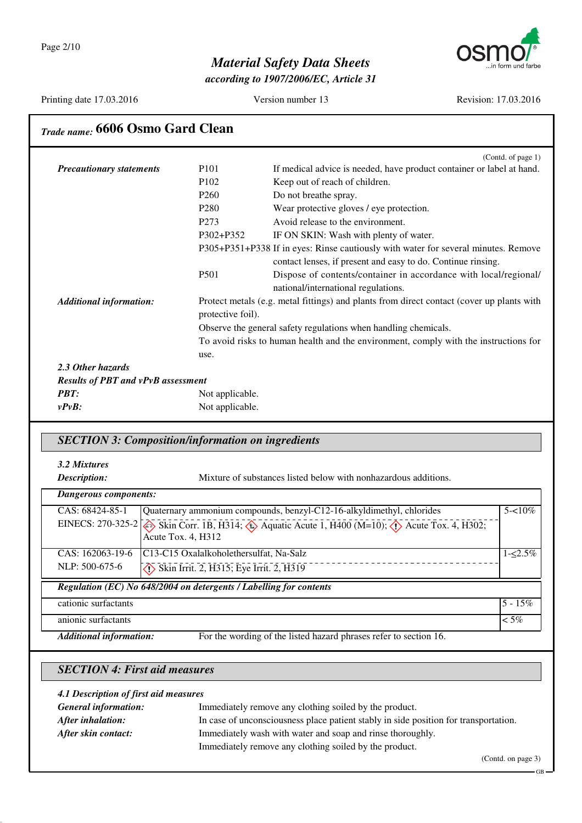

*according to 1907/2006/EC, Article 31*

Printing date 17.03.2016 Version number 13 Revision: 17.03.2016

| Trade name: 6606 Osmo Gard Clean          |                   |                                                                                           |
|-------------------------------------------|-------------------|-------------------------------------------------------------------------------------------|
|                                           |                   | (Contd. of page 1)                                                                        |
| <b>Precautionary statements</b>           | P <sub>101</sub>  | If medical advice is needed, have product container or label at hand.                     |
|                                           | P <sub>102</sub>  | Keep out of reach of children.                                                            |
|                                           | P <sub>260</sub>  | Do not breathe spray.                                                                     |
|                                           | P <sub>280</sub>  | Wear protective gloves / eye protection.                                                  |
|                                           | P <sub>273</sub>  | Avoid release to the environment.                                                         |
|                                           | P302+P352         | IF ON SKIN: Wash with plenty of water.                                                    |
|                                           |                   | P305+P351+P338 If in eyes: Rinse cautiously with water for several minutes. Remove        |
|                                           |                   | contact lenses, if present and easy to do. Continue rinsing.                              |
|                                           | P <sub>501</sub>  | Dispose of contents/container in accordance with local/regional/                          |
|                                           |                   | national/international regulations.                                                       |
| <b>Additional information:</b>            | protective foil). | Protect metals (e.g. metal fittings) and plants from direct contact (cover up plants with |
|                                           |                   | Observe the general safety regulations when handling chemicals.                           |
|                                           |                   | To avoid risks to human health and the environment, comply with the instructions for      |
|                                           | use.              |                                                                                           |
| 2.3 Other hazards                         |                   |                                                                                           |
| <b>Results of PBT and vPvB assessment</b> |                   |                                                                                           |
| <b>PBT:</b>                               | Not applicable.   |                                                                                           |
| $v P v B$ :                               | Not applicable.   |                                                                                           |
|                                           |                   |                                                                                           |

### *SECTION 3: Composition/information on ingredients*

#### *3.2 Mixtures*

**Description:** Mixture of substances listed below with nonhazardous additions.

| Dangerous components:          |                                                                                                                                                    |             |
|--------------------------------|----------------------------------------------------------------------------------------------------------------------------------------------------|-------------|
| CAS: 68424-85-1                | Quaternary ammonium compounds, benzyl-C12-16-alkyldimethyl, chlorides                                                                              | $5 - 10\%$  |
|                                | EINECS: 270-325-2 Skin Corr. 1B, H314; $\leftrightarrow$ Aquatic Acute 1, H400 (M=10); $\leftrightarrow$ Acute Tox. 4, H302;<br>Acute Tox. 4, H312 |             |
| CAS: 162063-19-6               | C13-C15 Oxalalkoholethersulfat, Na-Salz                                                                                                            | $1 - 2.5\%$ |
| NLP: 500-675-6                 | $\overline{\langle 1 \rangle}$ Skin Irrit. 2, H315; Eye Irrit. 2, H319                                                                             |             |
|                                | Regulation (EC) No 648/2004 on detergents / Labelling for contents                                                                                 |             |
| cationic surfactants           |                                                                                                                                                    | $15 - 15\%$ |
| anionic surfactants            |                                                                                                                                                    | $<$ 5%      |
| <b>Additional information:</b> | For the wording of the listed hazard phrases refer to section 16.                                                                                  |             |

### *SECTION 4: First aid measures*

| 4.1 Description of first aid measures |                                                                                      |  |
|---------------------------------------|--------------------------------------------------------------------------------------|--|
| <b>General information:</b>           | Immediately remove any clothing soiled by the product.                               |  |
| After inhalation:                     | In case of unconsciousness place patient stably in side position for transportation. |  |
| After skin contact:                   | Immediately wash with water and soap and rinse thoroughly.                           |  |
|                                       | Immediately remove any clothing soiled by the product.                               |  |

(Contd. on page 3)

GB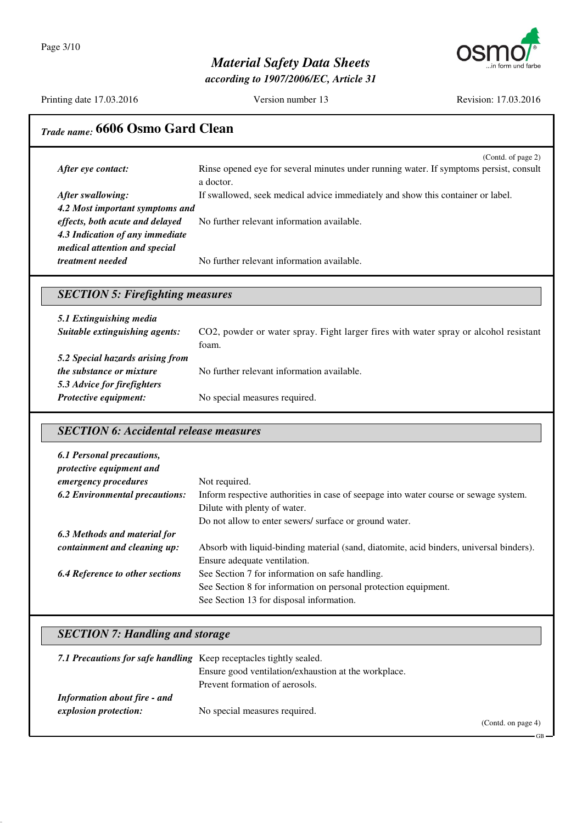

*according to 1907/2006/EC, Article 31*

Printing date 17.03.2016 Version number 13 Revision: 17.03.2016

# *Trade name:* **6606 Osmo Gard Clean**

|                                 | (Contd. of page 2)<br>Rinse opened eye for several minutes under running water. If symptoms persist, consult |
|---------------------------------|--------------------------------------------------------------------------------------------------------------|
| After eye contact:              | a doctor.                                                                                                    |
| After swallowing:               | If swallowed, seek medical advice immediately and show this container or label.                              |
| 4.2 Most important symptoms and |                                                                                                              |
| effects, both acute and delayed | No further relevant information available.                                                                   |
| 4.3 Indication of any immediate |                                                                                                              |
| medical attention and special   |                                                                                                              |
| <i>treatment needed</i>         | No further relevant information available.                                                                   |

### *SECTION 5: Firefighting measures*

| 5.1 Extinguishing media          |                                                                                      |
|----------------------------------|--------------------------------------------------------------------------------------|
| Suitable extinguishing agents:   | CO2, powder or water spray. Fight larger fires with water spray or alcohol resistant |
|                                  | foam.                                                                                |
| 5.2 Special hazards arising from |                                                                                      |
| <i>the substance or mixture</i>  | No further relevant information available.                                           |
| 5.3 Advice for firefighters      |                                                                                      |
| Protective equipment:            | No special measures required.                                                        |

### *SECTION 6: Accidental release measures*

| 6.1 Personal precautions,<br>protective equipment and |                                                                                         |
|-------------------------------------------------------|-----------------------------------------------------------------------------------------|
| emergency procedures                                  | Not required.                                                                           |
| <b>6.2 Environmental precautions:</b>                 | Inform respective authorities in case of seepage into water course or sewage system.    |
|                                                       | Dilute with plenty of water.                                                            |
|                                                       | Do not allow to enter sewers/ surface or ground water.                                  |
| 6.3 Methods and material for                          |                                                                                         |
| containment and cleaning up:                          | Absorb with liquid-binding material (sand, diatomite, acid binders, universal binders). |
|                                                       | Ensure adequate ventilation.                                                            |
| <b>6.4 Reference to other sections</b>                | See Section 7 for information on safe handling.                                         |
|                                                       | See Section 8 for information on personal protection equipment.                         |
|                                                       | See Section 13 for disposal information.                                                |

## *SECTION 7: Handling and storage*

| 7.1 Precautions for safe handling Keep receptacles tightly sealed. |                                                      |                   |
|--------------------------------------------------------------------|------------------------------------------------------|-------------------|
|                                                                    | Ensure good ventilation/exhaustion at the workplace. |                   |
|                                                                    | Prevent formation of aerosols.                       |                   |
| Information about fire - and                                       |                                                      |                   |
| explosion protection:                                              | No special measures required.                        |                   |
|                                                                    |                                                      | (Contedon page A) |

(Contd. on page 4)

GB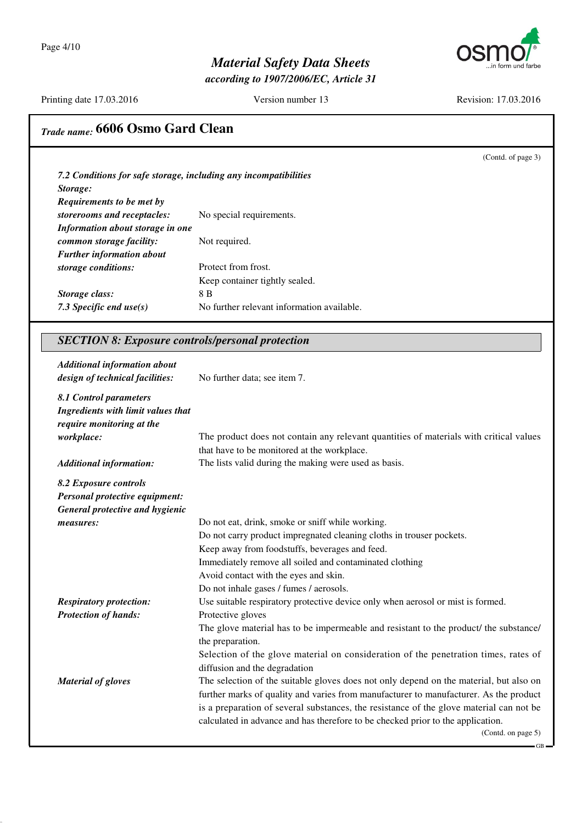

*according to 1907/2006/EC, Article 31*

Printing date 17.03.2016 Version number 13 Revision: 17.03.2016

(Contd. of page 3)

# *Trade name:* **6606 Osmo Gard Clean**

|                                  | 7.2 Conditions for safe storage, including any incompatibilities |
|----------------------------------|------------------------------------------------------------------|
| Storage:                         |                                                                  |
| <b>Requirements to be met by</b> |                                                                  |
| storerooms and receptacles:      | No special requirements.                                         |
| Information about storage in one |                                                                  |
| common storage facility:         | Not required.                                                    |
| <b>Further information about</b> |                                                                  |
| storage conditions:              | Protect from frost.                                              |
|                                  | Keep container tightly sealed.                                   |
| Storage class:                   | 8 B                                                              |
| 7.3 Specific end use $(s)$       | No further relevant information available.                       |

### *SECTION 8: Exposure controls/personal protection*

| <b>Additional information about</b><br>design of technical facilities:                                  | No further data; see item 7.                                                                                                          |
|---------------------------------------------------------------------------------------------------------|---------------------------------------------------------------------------------------------------------------------------------------|
| 8.1 Control parameters<br>Ingredients with limit values that<br>require monitoring at the<br>workplace: | The product does not contain any relevant quantities of materials with critical values<br>that have to be monitored at the workplace. |
| <b>Additional information:</b>                                                                          | The lists valid during the making were used as basis.                                                                                 |
| 8.2 Exposure controls                                                                                   |                                                                                                                                       |
| Personal protective equipment:<br>General protective and hygienic                                       |                                                                                                                                       |
| measures:                                                                                               | Do not eat, drink, smoke or sniff while working.                                                                                      |
|                                                                                                         | Do not carry product impregnated cleaning cloths in trouser pockets.                                                                  |
|                                                                                                         | Keep away from foodstuffs, beverages and feed.                                                                                        |
|                                                                                                         | Immediately remove all soiled and contaminated clothing                                                                               |
|                                                                                                         | Avoid contact with the eyes and skin.                                                                                                 |
|                                                                                                         | Do not inhale gases / fumes / aerosols.                                                                                               |
| <b>Respiratory protection:</b>                                                                          | Use suitable respiratory protective device only when aerosol or mist is formed.                                                       |
| <b>Protection of hands:</b>                                                                             | Protective gloves                                                                                                                     |
|                                                                                                         | The glove material has to be impermeable and resistant to the product/ the substance/<br>the preparation.                             |
|                                                                                                         | Selection of the glove material on consideration of the penetration times, rates of<br>diffusion and the degradation                  |
| <b>Material of gloves</b>                                                                               | The selection of the suitable gloves does not only depend on the material, but also on                                                |
|                                                                                                         | further marks of quality and varies from manufacturer to manufacturer. As the product                                                 |
|                                                                                                         | is a preparation of several substances, the resistance of the glove material can not be                                               |
|                                                                                                         | calculated in advance and has therefore to be checked prior to the application.                                                       |
|                                                                                                         | (Contd. on page 5)                                                                                                                    |
|                                                                                                         | - GB -                                                                                                                                |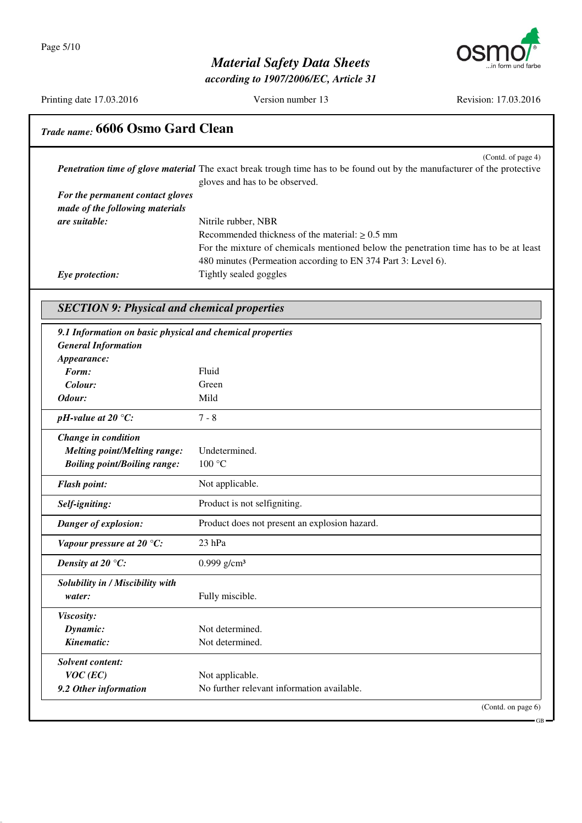

*according to 1907/2006/EC, Article 31*

Printing date 17.03.2016 Version number 13 Revision: 17.03.2016

# *Trade name:* **6606 Osmo Gard Clean**

|                                  | (Contd. of page 4)<br><b>Penetration time of glove material</b> The exact break trough time has to be found out by the manufacturer of the protective |
|----------------------------------|-------------------------------------------------------------------------------------------------------------------------------------------------------|
|                                  | gloves and has to be observed.                                                                                                                        |
| For the permanent contact gloves |                                                                                                                                                       |
| made of the following materials  |                                                                                                                                                       |
| <i>are suitable:</i>             | Nitrile rubber, NBR                                                                                                                                   |
|                                  | Recommended thickness of the material: $> 0.5$ mm                                                                                                     |
|                                  | For the mixture of chemicals mentioned below the penetration time has to be at least                                                                  |
|                                  | 480 minutes (Permeation according to EN 374 Part 3: Level 6).                                                                                         |
| Eye protection:                  | Tightly sealed goggles                                                                                                                                |

## *SECTION 9: Physical and chemical properties*

| 9.1 Information on basic physical and chemical properties |                                               |
|-----------------------------------------------------------|-----------------------------------------------|
| <b>General Information</b>                                |                                               |
| Appearance:                                               |                                               |
| Form:                                                     | Fluid                                         |
| Colour:                                                   | Green                                         |
| Odour:                                                    | Mild                                          |
| pH-value at $20^{\circ}$ C:                               | $7 - 8$                                       |
| Change in condition                                       |                                               |
| <b>Melting point/Melting range:</b>                       | Undetermined.                                 |
| <b>Boiling point/Boiling range:</b>                       | 100 °C                                        |
| <b>Flash point:</b>                                       | Not applicable.                               |
| Self-igniting:                                            | Product is not selfigniting.                  |
| Danger of explosion:                                      | Product does not present an explosion hazard. |
| Vapour pressure at 20 $°C$ :                              | 23 hPa                                        |
| Density at 20 $\mathrm{^{\circ}C:}$                       | $0.999$ g/cm <sup>3</sup>                     |
| Solubility in / Miscibility with                          |                                               |
| water:                                                    | Fully miscible.                               |
| Viscosity:                                                |                                               |
| Dynamic:                                                  | Not determined.                               |
| Kinematic:                                                | Not determined.                               |
| <b>Solvent content:</b>                                   |                                               |
| $VOC$ (EC)                                                | Not applicable.                               |
| 9.2 Other information                                     | No further relevant information available.    |
|                                                           | (Contd. on page 6)                            |
|                                                           | - GB                                          |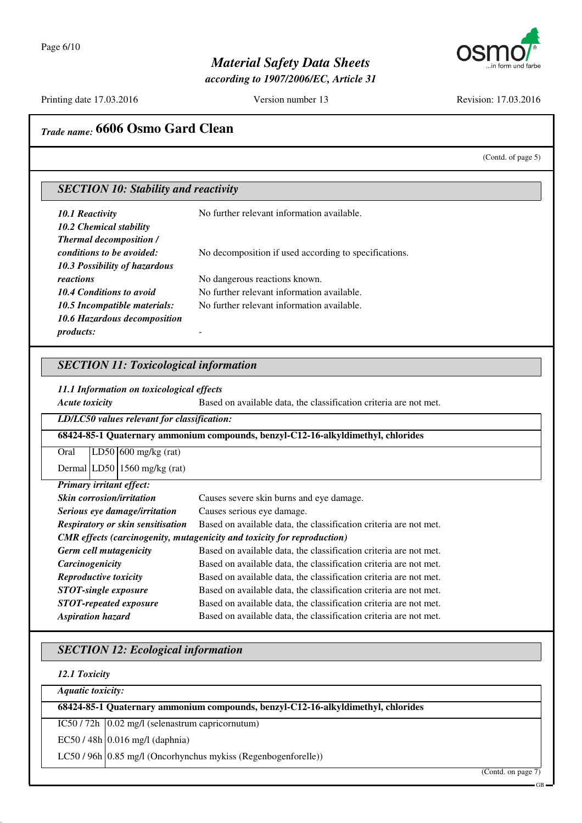

*according to 1907/2006/EC, Article 31*

Printing date 17.03.2016 Version number 13 Revision: 17.03.2016

### *Trade name:* **6606 Osmo Gard Clean**

(Contd. of page 5)

#### *SECTION 10: Stability and reactivity*

| 10.1 Reactivity                | No further relevant information available.            |
|--------------------------------|-------------------------------------------------------|
| 10.2 Chemical stability        |                                                       |
| <b>Thermal decomposition /</b> |                                                       |
| conditions to be avoided:      | No decomposition if used according to specifications. |
| 10.3 Possibility of hazardous  |                                                       |
| reactions                      | No dangerous reactions known.                         |
| 10.4 Conditions to avoid       | No further relevant information available.            |
| 10.5 Incompatible materials:   | No further relevant information available.            |
| 10.6 Hazardous decomposition   |                                                       |
| <i>products:</i>               |                                                       |

#### *SECTION 11: Toxicological information*

*11.1 Information on toxicological effects*

*Acute toxicity* Based on available data, the classification criteria are not met. *LD/LC50 values relevant for classification:* **68424-85-1 Quaternary ammonium compounds, benzyl-C12-16-alkyldimethyl, chlorides** Oral LD50 600 mg/kg (rat) Dermal LD50 1560 mg/kg (rat) *Primary irritant effect:* **Skin corrosion/irritation** Causes severe skin burns and eye damage. *Serious eye damage/irritation* Causes serious eye damage. **Respiratory or skin sensitisation** Based on available data, the classification criteria are not met. *CMR effects (carcinogenity, mutagenicity and toxicity for reproduction) Germ cell mutagenicity* Based on available data, the classification criteria are not met. *Carcinogenicity* Based on available data, the classification criteria are not met. *Reproductive toxicity* Based on available data, the classification criteria are not met. **STOT-single exposure** Based on available data, the classification criteria are not met. *STOT-repeated exposure* Based on available data, the classification criteria are not met. *Aspiration hazard* Based on available data, the classification criteria are not met.

#### *SECTION 12: Ecological information*

*12.1 Toxicity*

*Aquatic toxicity:*

**68424-85-1 Quaternary ammonium compounds, benzyl-C12-16-alkyldimethyl, chlorides**

 $IC50 / 72h$   $[0.02 \text{ mg/l}$  (selenastrum capricornutum)

 $EC50/48h$  0.016 mg/l (daphnia)

LC50 / 96h 0.85 mg/l (Oncorhynchus mykiss (Regenbogenforelle))

(Contd. on page 7)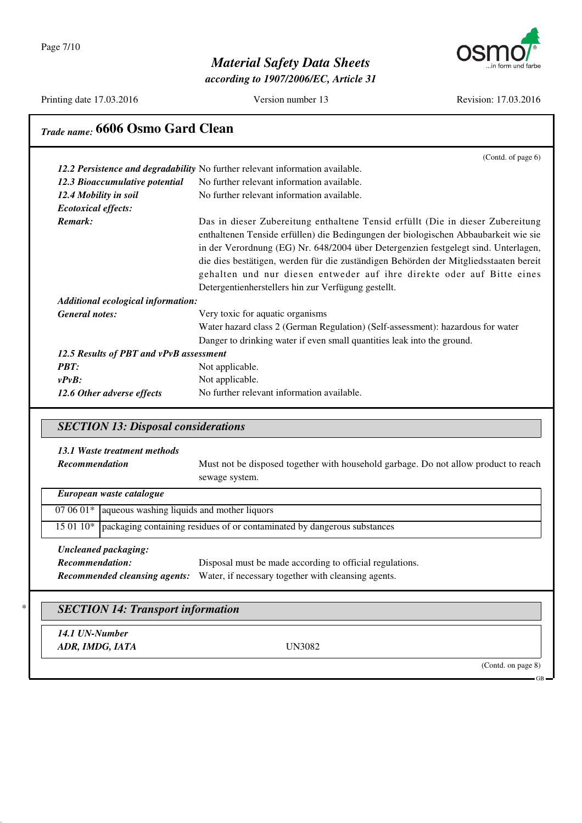Page 7/10



## *Material Safety Data Sheets*

*according to 1907/2006/EC, Article 31*

Printing date 17.03.2016 Version number 13 Revision: 17.03.2016

## *Trade name:* **6606 Osmo Gard Clean**

|                                         | (Contd. of page 6)                                                                                                                                                                                                                                                                                                                                                                                                                                                                   |
|-----------------------------------------|--------------------------------------------------------------------------------------------------------------------------------------------------------------------------------------------------------------------------------------------------------------------------------------------------------------------------------------------------------------------------------------------------------------------------------------------------------------------------------------|
|                                         | 12.2 Persistence and degradability No further relevant information available.                                                                                                                                                                                                                                                                                                                                                                                                        |
| 12.3 Bioaccumulative potential          | No further relevant information available.                                                                                                                                                                                                                                                                                                                                                                                                                                           |
| 12.4 Mobility in soil                   | No further relevant information available.                                                                                                                                                                                                                                                                                                                                                                                                                                           |
| <b>Ecotoxical effects:</b>              |                                                                                                                                                                                                                                                                                                                                                                                                                                                                                      |
| Remark:                                 | Das in dieser Zubereitung enthaltene Tensid erfüllt (Die in dieser Zubereitung<br>enthaltenen Tenside erfüllen) die Bedingungen der biologischen Abbaubarkeit wie sie<br>in der Verordnung (EG) Nr. 648/2004 über Detergenzien festgelegt sind. Unterlagen,<br>die dies bestätigen, werden für die zuständigen Behörden der Mitgliedsstaaten bereit<br>gehalten und nur diesen entweder auf ihre direkte oder auf Bitte eines<br>Detergentienherstellers hin zur Verfügung gestellt. |
| Additional ecological information:      |                                                                                                                                                                                                                                                                                                                                                                                                                                                                                      |
| <b>General notes:</b>                   | Very toxic for aquatic organisms                                                                                                                                                                                                                                                                                                                                                                                                                                                     |
|                                         | Water hazard class 2 (German Regulation) (Self-assessment): hazardous for water                                                                                                                                                                                                                                                                                                                                                                                                      |
|                                         | Danger to drinking water if even small quantities leak into the ground.                                                                                                                                                                                                                                                                                                                                                                                                              |
| 12.5 Results of PBT and vPvB assessment |                                                                                                                                                                                                                                                                                                                                                                                                                                                                                      |
| <b>PBT:</b>                             | Not applicable.                                                                                                                                                                                                                                                                                                                                                                                                                                                                      |
| $v P v B$ :                             | Not applicable.                                                                                                                                                                                                                                                                                                                                                                                                                                                                      |
| 12.6 Other adverse effects              | No further relevant information available.                                                                                                                                                                                                                                                                                                                                                                                                                                           |

### *SECTION 13: Disposal considerations*

#### *13.1 Waste treatment methods*

*Recommendation* Must not be disposed together with household garbage. Do not allow product to reach sewage system.

| European waste catalogue |                                                                                      |  |
|--------------------------|--------------------------------------------------------------------------------------|--|
|                          | $070601*$ aqueous washing liquids and mother liquors                                 |  |
|                          | 15 01 10*   packaging containing residues of or contaminated by dangerous substances |  |
| Uncleaned packaging:     |                                                                                      |  |

#### *Recommendation:* Disposal must be made according to official regulations. *Recommended cleansing agents:* Water, if necessary together with cleansing agents.

#### \* *SECTION 14: Transport information*

*14.1 UN-Number ADR, IMDG, IATA* UN3082

(Contd. on page 8)

GB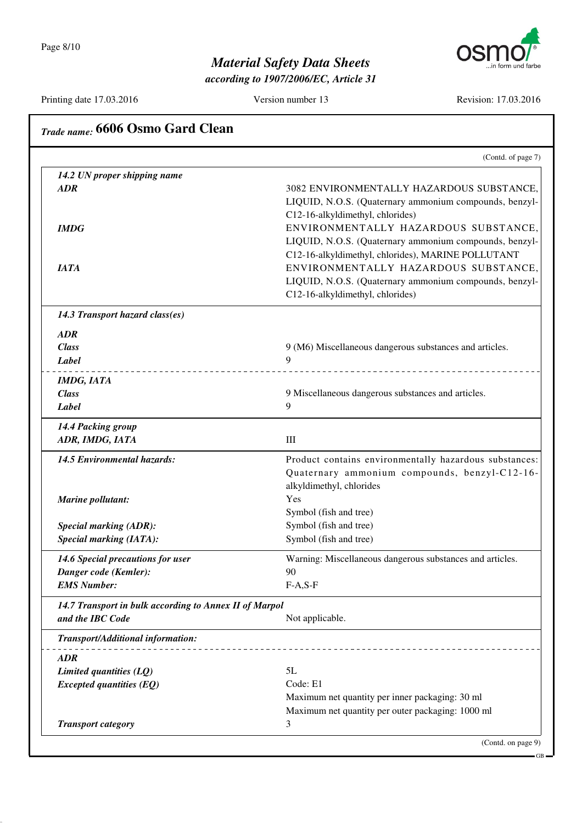*according to 1907/2006/EC, Article 31*

Printing date 17.03.2016 Version number 13 Revision: 17.03.2016

|                                                        | (Contd. of page 7)                                        |
|--------------------------------------------------------|-----------------------------------------------------------|
| 14.2 UN proper shipping name                           |                                                           |
| <b>ADR</b>                                             | 3082 ENVIRONMENTALLY HAZARDOUS SUBSTANCE,                 |
|                                                        | LIQUID, N.O.S. (Quaternary ammonium compounds, benzyl-    |
|                                                        | C12-16-alkyldimethyl, chlorides)                          |
| <b>IMDG</b>                                            | ENVIRONMENTALLY HAZARDOUS SUBSTANCE,                      |
|                                                        | LIQUID, N.O.S. (Quaternary ammonium compounds, benzyl-    |
|                                                        | C12-16-alkyldimethyl, chlorides), MARINE POLLUTANT        |
| <b>IATA</b>                                            | ENVIRONMENTALLY HAZARDOUS SUBSTANCE,                      |
|                                                        | LIQUID, N.O.S. (Quaternary ammonium compounds, benzyl-    |
|                                                        | C12-16-alkyldimethyl, chlorides)                          |
| 14.3 Transport hazard class(es)                        |                                                           |
| <b>ADR</b>                                             |                                                           |
| <b>Class</b>                                           | 9 (M6) Miscellaneous dangerous substances and articles.   |
| Label                                                  | 9                                                         |
| <b>IMDG, IATA</b>                                      |                                                           |
| <b>Class</b>                                           | 9 Miscellaneous dangerous substances and articles.        |
| Label                                                  | 9                                                         |
| 14.4 Packing group                                     |                                                           |
| ADR, IMDG, IATA                                        | III                                                       |
| 14.5 Environmental hazards:                            | Product contains environmentally hazardous substances:    |
|                                                        | Quaternary ammonium compounds, benzyl-C12-16-             |
|                                                        | alkyldimethyl, chlorides                                  |
| Marine pollutant:                                      | Yes                                                       |
|                                                        | Symbol (fish and tree)                                    |
| <b>Special marking (ADR):</b>                          | Symbol (fish and tree)                                    |
| <b>Special marking (IATA):</b>                         | Symbol (fish and tree)                                    |
| 14.6 Special precautions for user                      | Warning: Miscellaneous dangerous substances and articles. |
| Danger code (Kemler):                                  | 90                                                        |
| <b>EMS Number:</b>                                     | $F-A, S-F$                                                |
| 14.7 Transport in bulk according to Annex II of Marpol |                                                           |
| and the IBC Code                                       | Not applicable.                                           |
| Transport/Additional information:                      |                                                           |
| <b>ADR</b>                                             |                                                           |
| Limited quantities $(LQ)$                              | 5L                                                        |
| <b>Excepted quantities (EQ)</b>                        | Code: E1                                                  |
|                                                        | Maximum net quantity per inner packaging: 30 ml           |
|                                                        | Maximum net quantity per outer packaging: 1000 ml         |
| <b>Transport category</b>                              | 3                                                         |

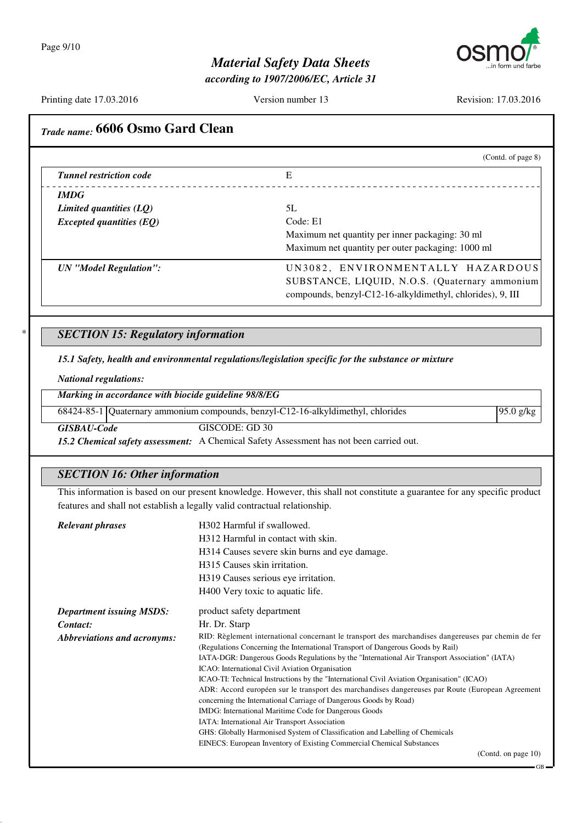

*according to 1907/2006/EC, Article 31*

Printing date 17.03.2016 Version number 13 Revision: 17.03.2016

GB

| <b>Tunnel restriction code</b><br><b>IMDG</b><br>Limited quantities (LQ)   | (Contd. of page 8)                                                                                                                                                                                                                                                                                                                       |  |
|----------------------------------------------------------------------------|------------------------------------------------------------------------------------------------------------------------------------------------------------------------------------------------------------------------------------------------------------------------------------------------------------------------------------------|--|
|                                                                            | E                                                                                                                                                                                                                                                                                                                                        |  |
|                                                                            |                                                                                                                                                                                                                                                                                                                                          |  |
|                                                                            |                                                                                                                                                                                                                                                                                                                                          |  |
|                                                                            | 5L<br>Code: E1                                                                                                                                                                                                                                                                                                                           |  |
| <b>Excepted quantities (EQ)</b>                                            | Maximum net quantity per inner packaging: 30 ml                                                                                                                                                                                                                                                                                          |  |
|                                                                            | Maximum net quantity per outer packaging: 1000 ml                                                                                                                                                                                                                                                                                        |  |
|                                                                            |                                                                                                                                                                                                                                                                                                                                          |  |
| <b>UN</b> "Model Regulation":                                              | UN3082, ENVIRONMENTALLY HAZARDOUS                                                                                                                                                                                                                                                                                                        |  |
|                                                                            | SUBSTANCE, LIQUID, N.O.S. (Quaternary ammonium<br>compounds, benzyl-C12-16-alkyldimethyl, chlorides), 9, III                                                                                                                                                                                                                             |  |
|                                                                            |                                                                                                                                                                                                                                                                                                                                          |  |
|                                                                            |                                                                                                                                                                                                                                                                                                                                          |  |
| <b>SECTION 15: Regulatory information</b>                                  |                                                                                                                                                                                                                                                                                                                                          |  |
|                                                                            | 15.1 Safety, health and environmental regulations/legislation specific for the substance or mixture                                                                                                                                                                                                                                      |  |
| <b>National regulations:</b>                                               |                                                                                                                                                                                                                                                                                                                                          |  |
| Marking in accordance with biocide guideline 98/8/EG                       |                                                                                                                                                                                                                                                                                                                                          |  |
|                                                                            | 68424-85-1 Quaternary ammonium compounds, benzyl-C12-16-alkyldimethyl, chlorides<br>95.0 g/kg                                                                                                                                                                                                                                            |  |
|                                                                            | GISCODE: GD 30                                                                                                                                                                                                                                                                                                                           |  |
| <b>GISBAU-Code</b>                                                         |                                                                                                                                                                                                                                                                                                                                          |  |
|                                                                            | 15.2 Chemical safety assessment: A Chemical Safety Assessment has not been carried out.                                                                                                                                                                                                                                                  |  |
|                                                                            |                                                                                                                                                                                                                                                                                                                                          |  |
| <b>SECTION 16: Other information</b>                                       |                                                                                                                                                                                                                                                                                                                                          |  |
|                                                                            | This information is based on our present knowledge. However, this shall not constitute a guarantee for any specific product                                                                                                                                                                                                              |  |
| features and shall not establish a legally valid contractual relationship. |                                                                                                                                                                                                                                                                                                                                          |  |
| <b>Relevant phrases</b>                                                    | H302 Harmful if swallowed.                                                                                                                                                                                                                                                                                                               |  |
|                                                                            | H312 Harmful in contact with skin.                                                                                                                                                                                                                                                                                                       |  |
|                                                                            | H314 Causes severe skin burns and eye damage.                                                                                                                                                                                                                                                                                            |  |
|                                                                            |                                                                                                                                                                                                                                                                                                                                          |  |
|                                                                            | H315 Causes skin irritation.                                                                                                                                                                                                                                                                                                             |  |
|                                                                            | H319 Causes serious eye irritation.                                                                                                                                                                                                                                                                                                      |  |
|                                                                            | H400 Very toxic to aquatic life.                                                                                                                                                                                                                                                                                                         |  |
|                                                                            |                                                                                                                                                                                                                                                                                                                                          |  |
| <b>Department issuing MSDS:</b><br>Contact:                                | product safety department<br>Hr. Dr. Starp                                                                                                                                                                                                                                                                                               |  |
| <b>Abbreviations and acronyms:</b>                                         |                                                                                                                                                                                                                                                                                                                                          |  |
|                                                                            | (Regulations Concerning the International Transport of Dangerous Goods by Rail)                                                                                                                                                                                                                                                          |  |
|                                                                            | IATA-DGR: Dangerous Goods Regulations by the "International Air Transport Association" (IATA)                                                                                                                                                                                                                                            |  |
|                                                                            | ICAO: International Civil Aviation Organisation                                                                                                                                                                                                                                                                                          |  |
|                                                                            | ICAO-TI: Technical Instructions by the "International Civil Aviation Organisation" (ICAO)                                                                                                                                                                                                                                                |  |
|                                                                            | concerning the International Carriage of Dangerous Goods by Road)                                                                                                                                                                                                                                                                        |  |
|                                                                            | IMDG: International Maritime Code for Dangerous Goods                                                                                                                                                                                                                                                                                    |  |
|                                                                            | RID: Règlement international concernant le transport des marchandises dangereuses par chemin de fer<br>ADR: Accord européen sur le transport des marchandises dangereuses par Route (European Agreement<br>IATA: International Air Transport Association<br>GHS: Globally Harmonised System of Classification and Labelling of Chemicals |  |